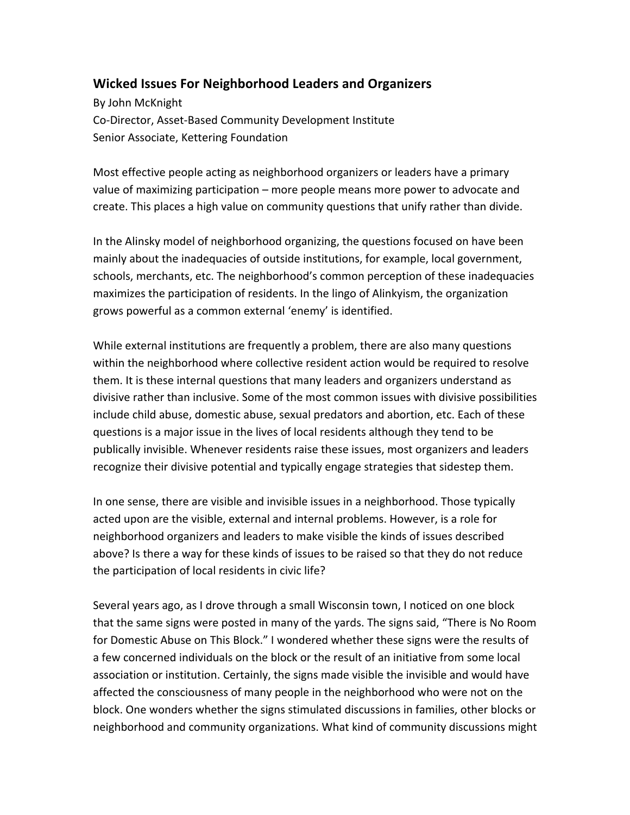## **Wicked Issues For Neighborhood Leaders and Organizers**

By John McKnight Co-Director, Asset-Based Community Development Institute Senior Associate, Kettering Foundation

Most effective people acting as neighborhood organizers or leaders have a primary value of maximizing participation – more people means more power to advocate and create. This places a high value on community questions that unify rather than divide.

In the Alinsky model of neighborhood organizing, the questions focused on have been mainly about the inadequacies of outside institutions, for example, local government, schools, merchants, etc. The neighborhood's common perception of these inadequacies maximizes the participation of residents. In the lingo of Alinkyism, the organization grows powerful as a common external 'enemy' is identified.

While external institutions are frequently a problem, there are also many questions within the neighborhood where collective resident action would be required to resolve them. It is these internal questions that many leaders and organizers understand as divisive rather than inclusive. Some of the most common issues with divisive possibilities include child abuse, domestic abuse, sexual predators and abortion, etc. Each of these questions is a major issue in the lives of local residents although they tend to be publically invisible. Whenever residents raise these issues, most organizers and leaders recognize their divisive potential and typically engage strategies that sidestep them.

In one sense, there are visible and invisible issues in a neighborhood. Those typically acted upon are the visible, external and internal problems. However, is a role for neighborhood organizers and leaders to make visible the kinds of issues described above? Is there a way for these kinds of issues to be raised so that they do not reduce the participation of local residents in civic life?

Several years ago, as I drove through a small Wisconsin town, I noticed on one block that the same signs were posted in many of the yards. The signs said, "There is No Room for Domestic Abuse on This Block." I wondered whether these signs were the results of a few concerned individuals on the block or the result of an initiative from some local association or institution. Certainly, the signs made visible the invisible and would have affected the consciousness of many people in the neighborhood who were not on the block. One wonders whether the signs stimulated discussions in families, other blocks or neighborhood and community organizations. What kind of community discussions might